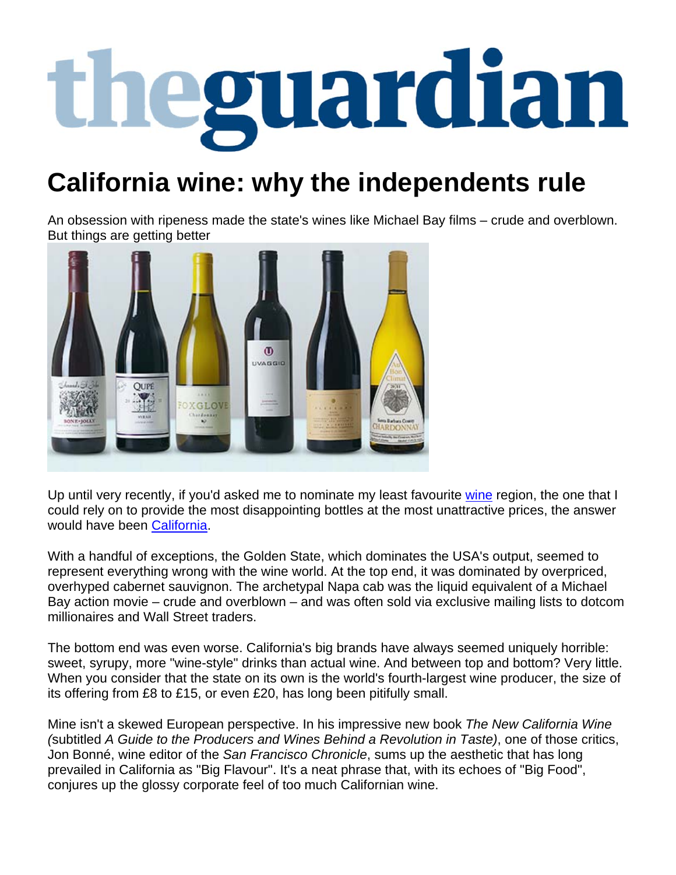# eguardian

## **California wine: why the independents rule**

An obsession with ripeness made the state's wines like Michael Bay films – crude and overblown. But things are getting better



Up until very recently, if you'd asked me to nominate my least favourite wine region, the one that I could rely on to provide the most disappointing bottles at the most unattractive prices, the answer would have been California.

With a handful of exceptions, the Golden State, which dominates the USA's output, seemed to represent everything wrong with the wine world. At the top end, it was dominated by overpriced, overhyped cabernet sauvignon. The archetypal Napa cab was the liquid equivalent of a Michael Bay action movie – crude and overblown – and was often sold via exclusive mailing lists to dotcom millionaires and Wall Street traders.

The bottom end was even worse. California's big brands have always seemed uniquely horrible: sweet, syrupy, more "wine-style" drinks than actual wine. And between top and bottom? Very little. When you consider that the state on its own is the world's fourth-largest wine producer, the size of its offering from £8 to £15, or even £20, has long been pitifully small.

Mine isn't a skewed European perspective. In his impressive new book *The New California Wine (*subtitled *A Guide to the Producers and Wines Behind a Revolution in Taste)*, one of those critics, Jon Bonné, wine editor of the *San Francisco Chronicle*, sums up the aesthetic that has long prevailed in California as "Big Flavour". It's a neat phrase that, with its echoes of "Big Food", conjures up the glossy corporate feel of too much Californian wine.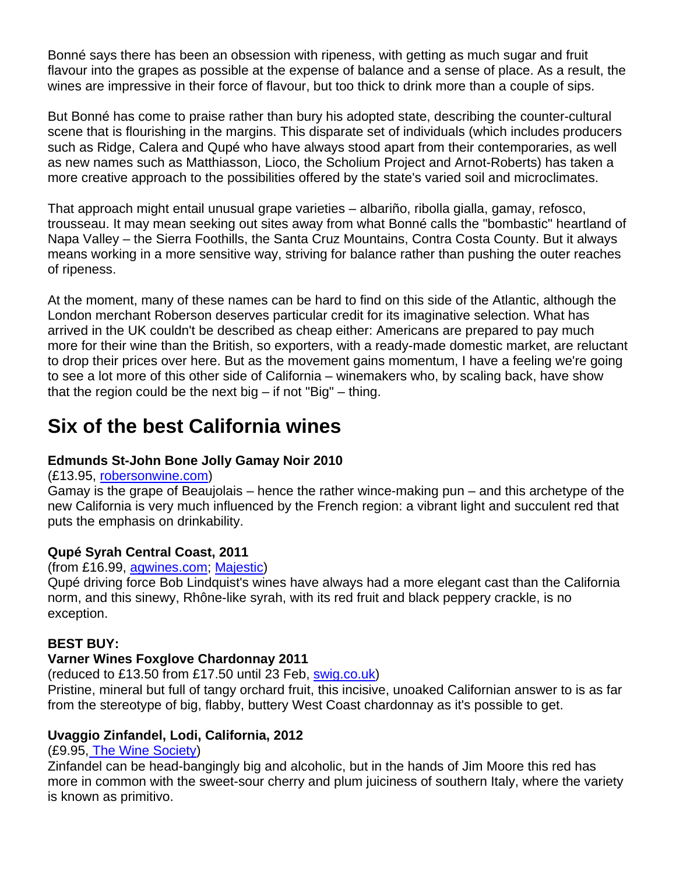Bonné says there has been an obsession with ripeness, with getting as much sugar and fruit flavour into the grapes as possible at the expense of balance and a sense of place. As a result, the wines are impressive in their force of flavour, but too thick to drink more than a couple of sips.

But Bonné has come to praise rather than bury his adopted state, describing the counter-cultural scene that is flourishing in the margins. This disparate set of individuals (which includes producers such as Ridge, Calera and Qupé who have always stood apart from their contemporaries, as well as new names such as Matthiasson, Lioco, the Scholium Project and Arnot-Roberts) has taken a more creative approach to the possibilities offered by the state's varied soil and microclimates.

That approach might entail unusual grape varieties – albariño, ribolla gialla, gamay, refosco, trousseau. It may mean seeking out sites away from what Bonné calls the "bombastic" heartland of Napa Valley – the Sierra Foothills, the Santa Cruz Mountains, Contra Costa County. But it always means working in a more sensitive way, striving for balance rather than pushing the outer reaches of ripeness.

At the moment, many of these names can be hard to find on this side of the Atlantic, although the London merchant Roberson deserves particular credit for its imaginative selection. What has arrived in the UK couldn't be described as cheap either: Americans are prepared to pay much more for their wine than the British, so exporters, with a ready-made domestic market, are reluctant to drop their prices over here. But as the movement gains momentum, I have a feeling we're going to see a lot more of this other side of California – winemakers who, by scaling back, have show that the region could be the next big  $-$  if not "Big"  $-$  thing.

### **Six of the best California wines**

#### **Edmunds St-John Bone Jolly Gamay Noir 2010**

#### (£13.95, robersonwine.com)

Gamay is the grape of Beaujolais – hence the rather wince-making pun – and this archetype of the new California is very much influenced by the French region: a vibrant light and succulent red that puts the emphasis on drinkability.

#### **Qupé Syrah Central Coast, 2011**

(from £16.99, agwines.com; Majestic)

Qupé driving force Bob Lindquist's wines have always had a more elegant cast than the California norm, and this sinewy, Rhône-like syrah, with its red fruit and black peppery crackle, is no exception.

#### **BEST BUY:**

#### **Varner Wines Foxglove Chardonnay 2011**

(reduced to £13.50 from £17.50 until 23 Feb, swig.co.uk)

Pristine, mineral but full of tangy orchard fruit, this incisive, unoaked Californian answer to is as far from the stereotype of big, flabby, buttery West Coast chardonnay as it's possible to get.

#### **Uvaggio Zinfandel, Lodi, California, 2012**

#### (£9.95, The Wine Society)

Zinfandel can be head-bangingly big and alcoholic, but in the hands of Jim Moore this red has more in common with the sweet-sour cherry and plum juiciness of southern Italy, where the variety is known as primitivo.